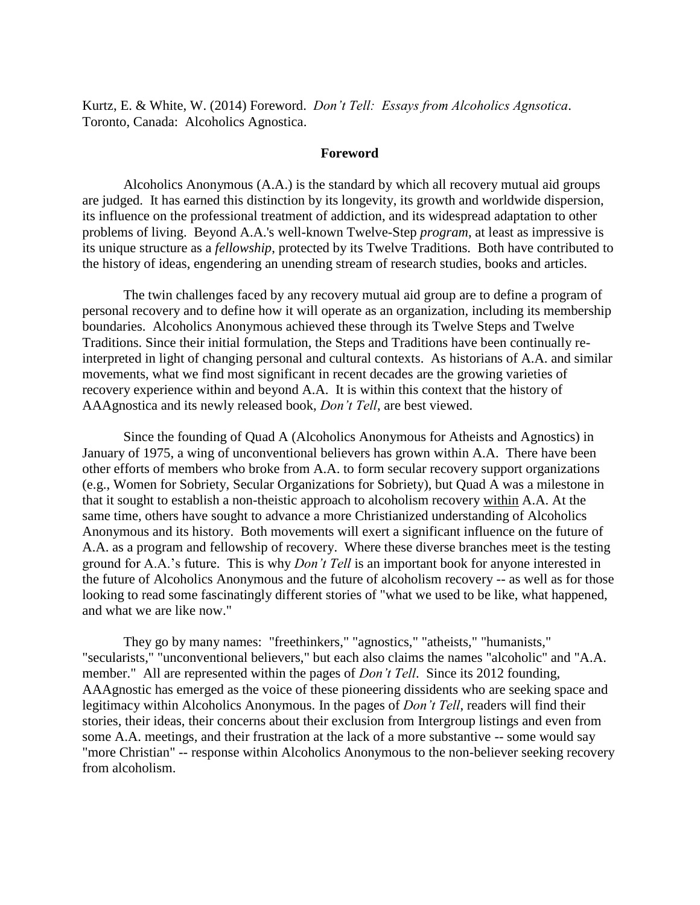Kurtz, E. & White, W. (2014) Foreword. *Don't Tell: Essays from Alcoholics Agnsotica*. Toronto, Canada: Alcoholics Agnostica.

## **Foreword**

Alcoholics Anonymous (A.A.) is the standard by which all recovery mutual aid groups are judged. It has earned this distinction by its longevity, its growth and worldwide dispersion, its influence on the professional treatment of addiction, and its widespread adaptation to other problems of living. Beyond A.A.'s well-known Twelve-Step *program*, at least as impressive is its unique structure as a *fellowship*, protected by its Twelve Traditions. Both have contributed to the history of ideas, engendering an unending stream of research studies, books and articles.

The twin challenges faced by any recovery mutual aid group are to define a program of personal recovery and to define how it will operate as an organization, including its membership boundaries. Alcoholics Anonymous achieved these through its Twelve Steps and Twelve Traditions. Since their initial formulation, the Steps and Traditions have been continually reinterpreted in light of changing personal and cultural contexts. As historians of A.A. and similar movements, what we find most significant in recent decades are the growing varieties of recovery experience within and beyond A.A. It is within this context that the history of AAAgnostica and its newly released book, *Don't Tell*, are best viewed.

Since the founding of Quad A (Alcoholics Anonymous for Atheists and Agnostics) in January of 1975, a wing of unconventional believers has grown within A.A. There have been other efforts of members who broke from A.A. to form secular recovery support organizations (e.g., Women for Sobriety, Secular Organizations for Sobriety), but Quad A was a milestone in that it sought to establish a non-theistic approach to alcoholism recovery within A.A. At the same time, others have sought to advance a more Christianized understanding of Alcoholics Anonymous and its history. Both movements will exert a significant influence on the future of A.A. as a program and fellowship of recovery. Where these diverse branches meet is the testing ground for A.A.'s future. This is why *Don't Tell* is an important book for anyone interested in the future of Alcoholics Anonymous and the future of alcoholism recovery -- as well as for those looking to read some fascinatingly different stories of "what we used to be like, what happened, and what we are like now."

They go by many names: "freethinkers," "agnostics," "atheists," "humanists," "secularists," "unconventional believers," but each also claims the names "alcoholic" and "A.A. member." All are represented within the pages of *Don't Tell*. Since its 2012 founding, AAAgnostic has emerged as the voice of these pioneering dissidents who are seeking space and legitimacy within Alcoholics Anonymous. In the pages of *Don't Tell*, readers will find their stories, their ideas, their concerns about their exclusion from Intergroup listings and even from some A.A. meetings, and their frustration at the lack of a more substantive -- some would say "more Christian" -- response within Alcoholics Anonymous to the non-believer seeking recovery from alcoholism.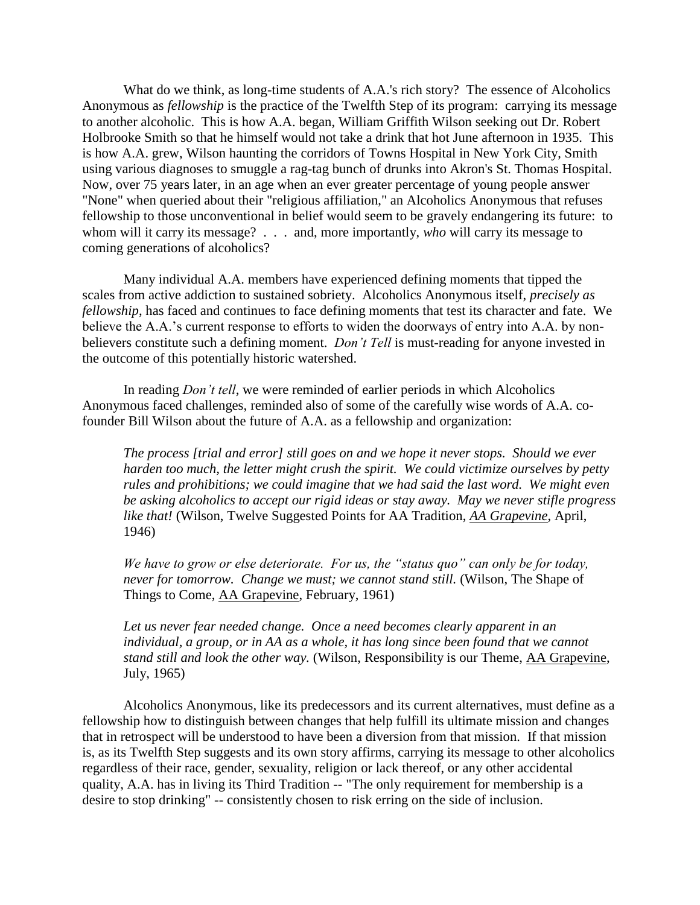What do we think, as long-time students of A.A.'s rich story? The essence of Alcoholics Anonymous as *fellowship* is the practice of the Twelfth Step of its program: carrying its message to another alcoholic. This is how A.A. began, William Griffith Wilson seeking out Dr. Robert Holbrooke Smith so that he himself would not take a drink that hot June afternoon in 1935. This is how A.A. grew, Wilson haunting the corridors of Towns Hospital in New York City, Smith using various diagnoses to smuggle a rag-tag bunch of drunks into Akron's St. Thomas Hospital. Now, over 75 years later, in an age when an ever greater percentage of young people answer "None" when queried about their "religious affiliation," an Alcoholics Anonymous that refuses fellowship to those unconventional in belief would seem to be gravely endangering its future: to whom will it carry its message? . . . and, more importantly, *who* will carry its message to coming generations of alcoholics?

Many individual A.A. members have experienced defining moments that tipped the scales from active addiction to sustained sobriety. Alcoholics Anonymous itself, *precisely as fellowship*, has faced and continues to face defining moments that test its character and fate. We believe the A.A.'s current response to efforts to widen the doorways of entry into A.A. by nonbelievers constitute such a defining moment. *Don't Tell* is must-reading for anyone invested in the outcome of this potentially historic watershed.

In reading *Don't tell*, we were reminded of earlier periods in which Alcoholics Anonymous faced challenges, reminded also of some of the carefully wise words of A.A. cofounder Bill Wilson about the future of A.A. as a fellowship and organization:

*The process [trial and error] still goes on and we hope it never stops. Should we ever harden too much, the letter might crush the spirit. We could victimize ourselves by petty rules and prohibitions; we could imagine that we had said the last word. We might even be asking alcoholics to accept our rigid ideas or stay away. May we never stifle progress like that!* (Wilson, Twelve Suggested Points for AA Tradition, *AA Grapevine*, April, 1946)

*We have to grow or else deteriorate. For us, the "status quo" can only be for today, never for tomorrow. Change we must; we cannot stand still.* (Wilson, The Shape of Things to Come, AA Grapevine, February, 1961)

*Let us never fear needed change. Once a need becomes clearly apparent in an individual, a group, or in AA as a whole, it has long since been found that we cannot stand still and look the other way.* (Wilson, Responsibility is our Theme, AA Grapevine, July, 1965)

Alcoholics Anonymous, like its predecessors and its current alternatives, must define as a fellowship how to distinguish between changes that help fulfill its ultimate mission and changes that in retrospect will be understood to have been a diversion from that mission. If that mission is, as its Twelfth Step suggests and its own story affirms, carrying its message to other alcoholics regardless of their race, gender, sexuality, religion or lack thereof, or any other accidental quality, A.A. has in living its Third Tradition -- "The only requirement for membership is a desire to stop drinking" -- consistently chosen to risk erring on the side of inclusion.